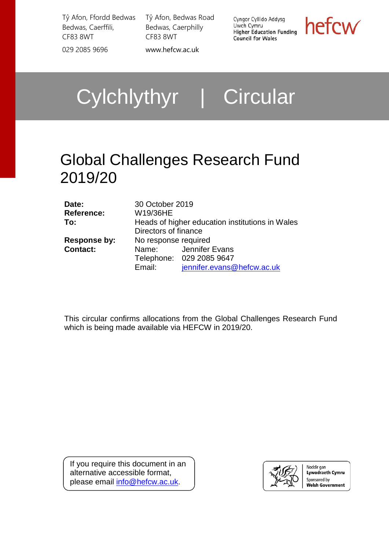Tŷ Afon, Ffordd Bedwas Bedwas, Caerffili, CF83 8WT 029 2085 9696 [www.hefcw.ac.uk](http://www.hefcw.ac.uk/)

Tŷ Afon, Bedwas Road Bedwas, Caerphilly CF83 8WT

Cyngor Cyllido Addysg Uwch Cymru **Uwch Cymru<br>Higher Education Funding Council for Wales** 

hefcw

Cylchlythyr | Circular

# Global Challenges Research Fund 2019/20

| Date:             | 30 October 2019                                 |                            |  |
|-------------------|-------------------------------------------------|----------------------------|--|
| <b>Reference:</b> | W19/36HE                                        |                            |  |
| To:               | Heads of higher education institutions in Wales |                            |  |
|                   | Directors of finance                            |                            |  |
| Response by:      | No response required                            |                            |  |
| <b>Contact:</b>   |                                                 | Name: Jennifer Evans       |  |
|                   |                                                 | Telephone: 029 2085 9647   |  |
|                   | Email:                                          | jennifer.evans@hefcw.ac.uk |  |

This circular confirms allocations from the Global Challenges Research Fund which is being made available via HEFCW in 2019/20.

If you require this document in an alternative accessible format, please email [info@hefcw.ac.uk.](mailto:info@hefcw.ac.uk)



Noddir gan **Lywodraeth Cymru** Sponsored by **Welsh Government**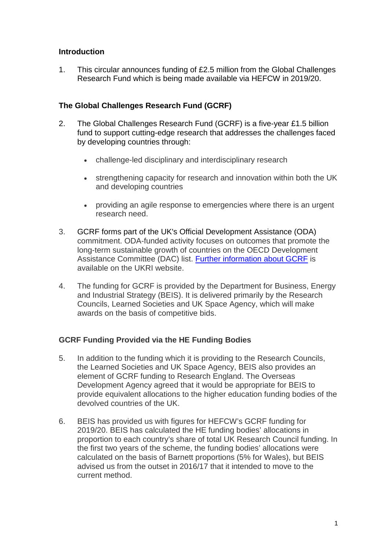#### **Introduction**

1. This circular announces funding of £2.5 million from the Global Challenges Research Fund which is being made available via HEFCW in 2019/20.

#### **The Global Challenges Research Fund (GCRF)**

- 2. The Global Challenges Research Fund (GCRF) is a five-year £1.5 billion fund to support cutting-edge research that addresses the challenges faced by developing countries through:
	- challenge-led disciplinary and interdisciplinary research
	- strengthening capacity for research and innovation within both the UK and developing countries
	- providing an agile response to emergencies where there is an urgent research need.
- 3. GCRF forms part of the UK's Official Development Assistance (ODA) commitment. ODA-funded activity focuses on outcomes that promote the long-term sustainable growth of countries on the OECD Development Assistance Committee (DAC) list. [Further information about GCRF](https://www.ukri.org/research/global-challenges-research-fund/) is available on the UKRI website.
- 4. The funding for GCRF is provided by the Department for Business, Energy and Industrial Strategy (BEIS). It is delivered primarily by the Research Councils, Learned Societies and UK Space Agency, which will make awards on the basis of competitive bids.

## **GCRF Funding Provided via the HE Funding Bodies**

- 5. In addition to the funding which it is providing to the Research Councils, the Learned Societies and UK Space Agency, BEIS also provides an element of GCRF funding to Research England. The Overseas Development Agency agreed that it would be appropriate for BEIS to provide equivalent allocations to the higher education funding bodies of the devolved countries of the UK.
- 6. BEIS has provided us with figures for HEFCW's GCRF funding for 2019/20. BEIS has calculated the HE funding bodies' allocations in proportion to each country's share of total UK Research Council funding. In the first two years of the scheme, the funding bodies' allocations were calculated on the basis of Barnett proportions (5% for Wales), but BEIS advised us from the outset in 2016/17 that it intended to move to the current method.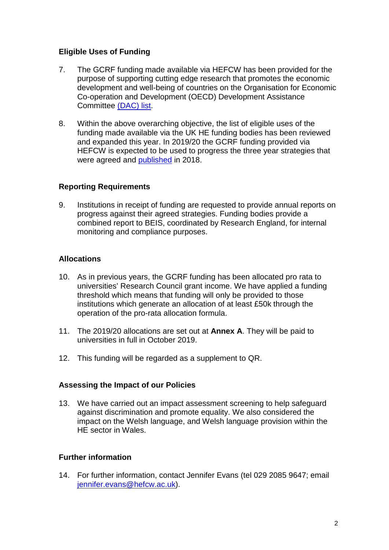#### **Eligible Uses of Funding**

- 7. The GCRF funding made available via HEFCW has been provided for the purpose of supporting cutting edge research that promotes the economic development and well-being of countries on the Organisation for Economic Co-operation and Development (OECD) Development Assistance Committee [\(DAC\) list.](http://www.oecd.org/dac/stats/documentupload/DAC%20List%20of%20ODA%20Recipients%202014%20final.pdf)
- 8. Within the above overarching objective, the list of eligible uses of the funding made available via the UK HE funding bodies has been reviewed and expanded this year. In 2019/20 the GCRF funding provided via HEFCW is expected to be used to progress the three year strategies that were agreed and [published](https://www.hefcw.ac.uk/documents/policy_areas/research/GCRF.pdf) in 2018.

#### **Reporting Requirements**

9. Institutions in receipt of funding are requested to provide annual reports on progress against their agreed strategies. Funding bodies provide a combined report to BEIS, coordinated by Research England, for internal monitoring and compliance purposes.

#### **Allocations**

- 10. As in previous years, the GCRF funding has been allocated pro rata to universities' Research Council grant income. We have applied a funding threshold which means that funding will only be provided to those institutions which generate an allocation of at least £50k through the operation of the pro-rata allocation formula.
- 11. The 2019/20 allocations are set out at **Annex A**. They will be paid to universities in full in October 2019.
- 12. This funding will be regarded as a supplement to QR.

#### **Assessing the Impact of our Policies**

13. We have carried out an impact assessment screening to help safeguard against discrimination and promote equality. We also considered the impact on the Welsh language, and Welsh language provision within the HE sector in Wales.

## **Further information**

14. For further information, contact Jennifer Evans (tel 029 2085 9647; email [jennifer.evans@hefcw.ac.uk\)](mailto:jennifer.evans@hefcw.ac.uk).